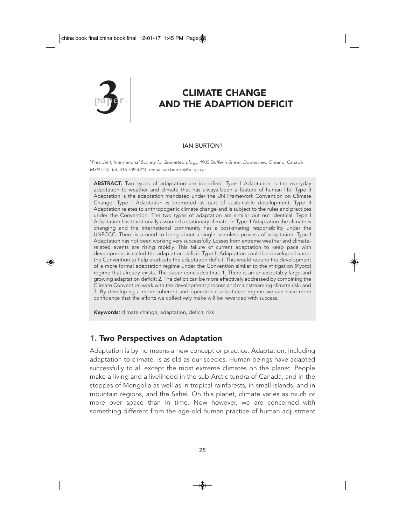

# **paper 3** CLIMATE CHANGE<br>AND THE ADAPTION DI AND THE ADAPTION DEFICIT

#### IAN BURTON1

<sup>1</sup>President, International Society for Biometeorology, 4905 Dufferin Street, Downsview, Ontario, Canada M3H 5T4; Tel. 416 739-4314; email: ian.burton@ec.gc.ca

ABSTRACT: Two types of adaptation are identified. Type I Adaptation is the everyday adaptation to weather and climate that has always been a feature of human life. Type II Adaptation is the adaptation mandated under the UN Framework Convention on Climate Change. Type I Adaptation is promoted as part of sustainable development. Type II Adaptation relates to anthropogenic climate change and is subject to the rules and practices under the Convention. The two types of adaptation are similar but not identical. Type I Adaptation has traditionally assumed a stationary climate. In Type II Adaptation the climate is changing and the international community has a cost-sharing responsibility under the UNFCCC. There is a need to bring about a single seamless process of adaptation. Type I Adaptation has not been working very successfully. Losses from extreme weather and climaterelated events are rising rapidly. This failure of current adaptation to keep pace with development is called the adaptation deficit. Type II Adaptation could be developed under the Convention to help eradicate the adaptation deficit. This would require the development of a more formal adaptation regime under the Convention similar to the mitigation (Kyoto) regime that already exists. The paper concludes that: 1. There is an unacceptably large and growing adaptation deficit; 2. The deficit can be more effectively addressed by combining the Climate Convention work with the development process and mainstreaming climate risk; and 3. By developing a more coherent and operational adaptation regime we can have more confidence that the efforts we collectively make will be rewarded with success.

Keywords: climate change, adaptation, deficit, risk

### 1. Two Perspectives on Adaptation

Adaptation is by no means a new concept or practice. Adaptation, including adaptation to climate, is as old as our species. Human beings have adapted successfully to all except the most extreme climates on the planet. People make a living and a livelihood in the sub-Arctic tundra of Canada, and in the steppes of Mongolia as well as in tropical rainforests, in small islands, and in mountain regions, and the Sahel. On this planet, climate varies as much or more over space than in time. Now however, we are concerned with something different from the age-old human practice of human adjustment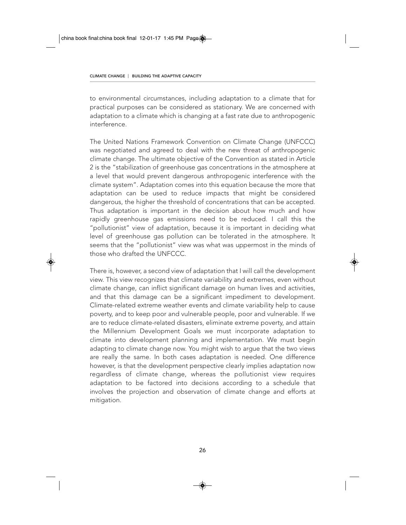to environmental circumstances, including adaptation to a climate that for practical purposes can be considered as stationary. We are concerned with adaptation to a climate which is changing at a fast rate due to anthropogenic interference.

The United Nations Framework Convention on Climate Change (UNFCCC) was negotiated and agreed to deal with the new threat of anthropogenic climate change. The ultimate objective of the Convention as stated in Article 2 is the "stabilization of greenhouse gas concentrations in the atmosphere at a level that would prevent dangerous anthropogenic interference with the climate system". Adaptation comes into this equation because the more that adaptation can be used to reduce impacts that might be considered dangerous, the higher the threshold of concentrations that can be accepted. Thus adaptation is important in the decision about how much and how rapidly greenhouse gas emissions need to be reduced. I call this the "pollutionist" view of adaptation, because it is important in deciding what level of greenhouse gas pollution can be tolerated in the atmosphere. It seems that the "pollutionist" view was what was uppermost in the minds of those who drafted the UNFCCC.

There is, however, a second view of adaptation that I will call the development view. This view recognizes that climate variability and extremes, even without climate change, can inflict significant damage on human lives and activities, and that this damage can be a significant impediment to development. Climate-related extreme weather events and climate variability help to cause poverty, and to keep poor and vulnerable people, poor and vulnerable. If we are to reduce climate-related disasters, eliminate extreme poverty, and attain the Millennium Development Goals we must incorporate adaptation to climate into development planning and implementation. We must begin adapting to climate change now. You might wish to argue that the two views are really the same. In both cases adaptation is needed. One difference however, is that the development perspective clearly implies adaptation now regardless of climate change, whereas the pollutionist view requires adaptation to be factored into decisions according to a schedule that involves the projection and observation of climate change and efforts at mitigation.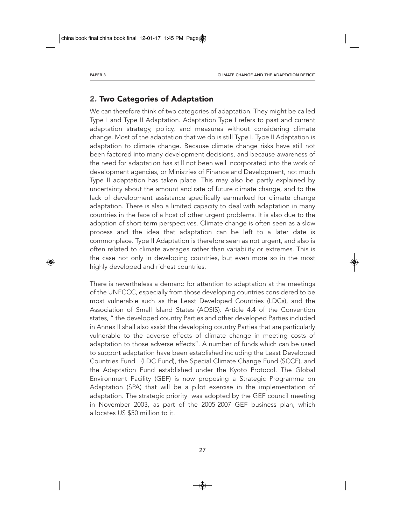# 2. Two Categories of Adaptation

We can therefore think of two categories of adaptation. They might be called Type I and Type II Adaptation. Adaptation Type I refers to past and current adaptation strategy, policy, and measures without considering climate change. Most of the adaptation that we do is still Type I. Type II Adaptation is adaptation to climate change. Because climate change risks have still not been factored into many development decisions, and because awareness of the need for adaptation has still not been well incorporated into the work of development agencies, or Ministries of Finance and Development, not much Type II adaptation has taken place. This may also be partly explained by uncertainty about the amount and rate of future climate change, and to the lack of development assistance specifically earmarked for climate change adaptation. There is also a limited capacity to deal with adaptation in many countries in the face of a host of other urgent problems. It is also due to the adoption of short-term perspectives. Climate change is often seen as a slow process and the idea that adaptation can be left to a later date is commonplace. Type II Adaptation is therefore seen as not urgent, and also is often related to climate averages rather than variability or extremes. This is the case not only in developing countries, but even more so in the most highly developed and richest countries.

There is nevertheless a demand for attention to adaptation at the meetings of the UNFCCC, especially from those developing countries considered to be most vulnerable such as the Least Developed Countries (LDCs), and the Association of Small Island States (AOSIS). Article 4.4 of the Convention states, " the developed country Parties and other developed Parties included in Annex II shall also assist the developing country Parties that are particularly vulnerable to the adverse effects of climate change in meeting costs of adaptation to those adverse effects". A number of funds which can be used to support adaptation have been established including the Least Developed Countries Fund (LDC Fund), the Special Climate Change Fund (SCCF), and the Adaptation Fund established under the Kyoto Protocol. The Global Environment Facility (GEF) is now proposing a Strategic Programme on Adaptation (SPA) that will be a pilot exercise in the implementation of adaptation. The strategic priority was adopted by the GEF council meeting in November 2003, as part of the 2005-2007 GEF business plan, which allocates US \$50 million to it.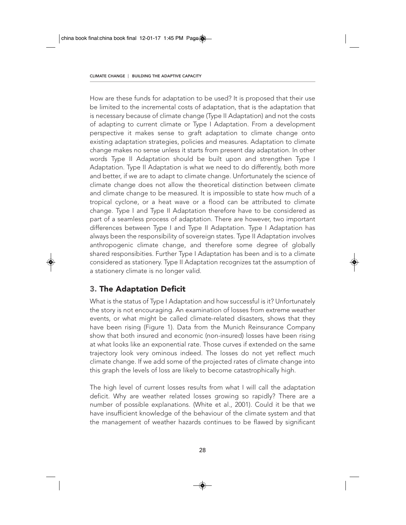How are these funds for adaptation to be used? It is proposed that their use be limited to the incremental costs of adaptation, that is the adaptation that is necessary because of climate change (Type II Adaptation) and not the costs of adapting to current climate or Type I Adaptation. From a development perspective it makes sense to graft adaptation to climate change onto existing adaptation strategies, policies and measures. Adaptation to climate change makes no sense unless it starts from present day adaptation. In other words Type II Adaptation should be built upon and strengthen Type I Adaptation. Type II Adaptation is what we need to do differently, both more and better, if we are to adapt to climate change. Unfortunately the science of climate change does not allow the theoretical distinction between climate and climate change to be measured. It is impossible to state how much of a tropical cyclone, or a heat wave or a flood can be attributed to climate change. Type I and Type II Adaptation therefore have to be considered as part of a seamless process of adaptation. There are however, two important differences between Type I and Type II Adaptation. Type I Adaptation has always been the responsibility of sovereign states. Type II Adaptation involves anthropogenic climate change, and therefore some degree of globally shared responsibities. Further Type I Adaptation has been and is to a climate considered as stationery. Type II Adaptation recognizes tat the assumption of a stationery climate is no longer valid.

# 3. The Adaptation Deficit

What is the status of Type I Adaptation and how successful is it? Unfortunately the story is not encouraging. An examination of losses from extreme weather events, or what might be called climate-related disasters, shows that they have been rising (Figure 1). Data from the Munich Reinsurance Company show that both insured and economic (non-insured) losses have been rising at what looks like an exponential rate. Those curves if extended on the same trajectory look very ominous indeed. The losses do not yet reflect much climate change. If we add some of the projected rates of climate change into this graph the levels of loss are likely to become catastrophically high.

The high level of current losses results from what I will call the adaptation deficit. Why are weather related losses growing so rapidly? There are a number of possible explanations. (White et al., 2001). Could it be that we have insufficient knowledge of the behaviour of the climate system and that the management of weather hazards continues to be flawed by significant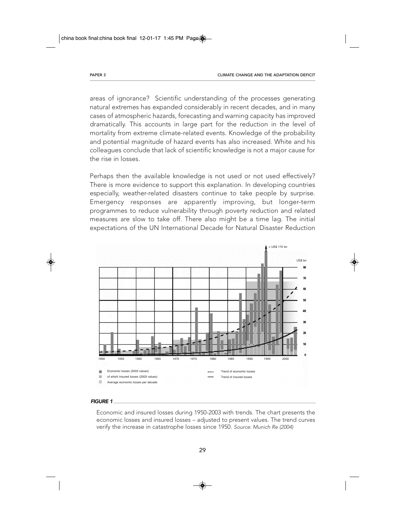areas of ignorance? Scientific understanding of the processes generating natural extremes has expanded considerably in recent decades, and in many cases of atmospheric hazards, forecasting and warning capacity has improved dramatically. This accounts in large part for the reduction in the level of mortality from extreme climate-related events. Knowledge of the probability and potential magnitude of hazard events has also increased. White and his colleagues conclude that lack of scientific knowledge is not a major cause for the rise in losses.

Perhaps then the available knowledge is not used or not used effectively? There is more evidence to support this explanation. In developing countries especially, weather-related disasters continue to take people by surprise. Emergency responses are apparently improving, but longer-term programmes to reduce vulnerability through poverty reduction and related measures are slow to take off. There also might be a time lag. The initial expectations of the UN International Decade for Natural Disaster Reduction



#### FIGURE 1

Economic and insured losses during 1950-2003 with trends. The chart presents the economic losses and insured losses – adjusted to present values. The trend curves verify the increase in catastrophe losses since 1950. Source: Munich Re (2004)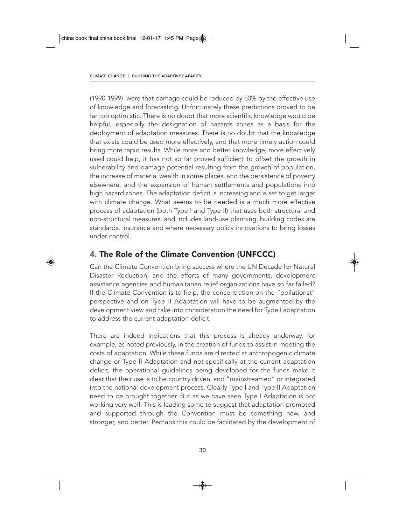(1990-1999) were that damage could be reduced by 50% by the effective use of knowledge and forecasting. Unfortunately these predictions proved to be far too optimistic. There is no doubt that more scientific knowledge would be helpful, especially the designation of hazards zones as a basis for the deployment of adaptation measures. There is no doubt that the knowledge that exists could be used more effectively, and that more timely action could bring more rapid results. While more and better knowledge, more effectively used could help, it has not so far proved sufficient to offset the growth in vulnerability and damage potential resulting from the growth of population, the increase of material wealth in some places, and the persistence of poverty elsewhere, and the expansion of human settlements and populations into high hazard zones. The adaptation deficit is increasing and is set to get larger with climate change. What seems to be needed is a much more effective process of adaptation (both Type I and Type II) that uses both structural and non-structural measures, and includes land-use planning, building codes are standards, insurance and where necessary policy innovations to bring losses under control.

# 4. The Role of the Climate Convention (UNFCCC)

Can the Climate Convention bring success where the UN Decade for Natural Disaster Reduction, and the efforts of many governments, development assistance agencies and humanitarian relief organizations have so far failed? If the Climate Convention is to help, the concentration on the "pollutionst" perspective and on Type II Adaptation will have to be augmented by the development view and take into consideration the need for Type I adaptation to address the current adaptation deficit.

There are indeed indications that this process is already underway, for example, as noted previously, in the creation of funds to assist in meeting the costs of adaptation. While these funds are directed at anthropogenic climate change or Type II Adaptation and not specifically at the current adaptation deficit, the operational guidelines being developed for the funds make it clear that their use is to be country driven, and "mainstreamed" or integrated into the national development process. Clearly Type I and Type II Adaptation need to be brought together. But as we have seen Type I Adaptation is not working very well. This is leading some to suggest that adaptation promoted and supported through the Convention must be something new, and stronger, and better. Perhaps this could be facilitated by the development of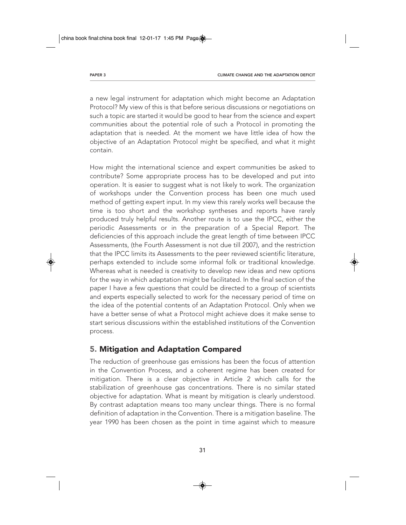a new legal instrument for adaptation which might become an Adaptation Protocol? My view of this is that before serious discussions or negotiations on such a topic are started it would be good to hear from the science and expert communities about the potential role of such a Protocol in promoting the adaptation that is needed. At the moment we have little idea of how the objective of an Adaptation Protocol might be specified, and what it might contain.

How might the international science and expert communities be asked to contribute? Some appropriate process has to be developed and put into operation. It is easier to suggest what is not likely to work. The organization of workshops under the Convention process has been one much used method of getting expert input. In my view this rarely works well because the time is too short and the workshop syntheses and reports have rarely produced truly helpful results. Another route is to use the IPCC, either the periodic Assessments or in the preparation of a Special Report. The deficiencies of this approach include the great length of time between IPCC Assessments, (the Fourth Assessment is not due till 2007), and the restriction that the IPCC limits its Assessments to the peer reviewed scientific literature, perhaps extended to include some informal folk or traditional knowledge. Whereas what is needed is creativity to develop new ideas and new options for the way in which adaptation might be facilitated. In the final section of the paper I have a few questions that could be directed to a group of scientists and experts especially selected to work for the necessary period of time on the idea of the potential contents of an Adaptation Protocol. Only when we have a better sense of what a Protocol might achieve does it make sense to start serious discussions within the established institutions of the Convention process.

# 5. Mitigation and Adaptation Compared

The reduction of greenhouse gas emissions has been the focus of attention in the Convention Process, and a coherent regime has been created for mitigation. There is a clear objective in Article 2 which calls for the stabilization of greenhouse gas concentrations. There is no similar stated objective for adaptation. What is meant by mitigation is clearly understood. By contrast adaptation means too many unclear things. There is no formal definition of adaptation in the Convention. There is a mitigation baseline. The year 1990 has been chosen as the point in time against which to measure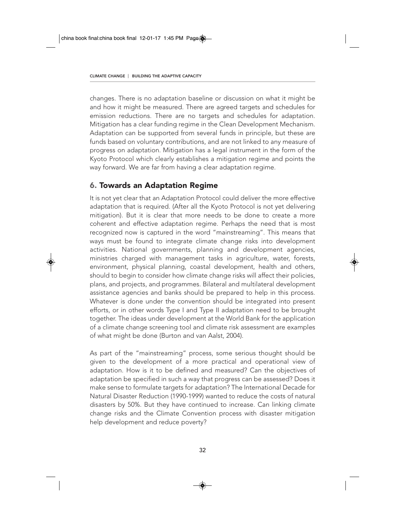changes. There is no adaptation baseline or discussion on what it might be and how it might be measured. There are agreed targets and schedules for emission reductions. There are no targets and schedules for adaptation. Mitigation has a clear funding regime in the Clean Development Mechanism. Adaptation can be supported from several funds in principle, but these are funds based on voluntary contributions, and are not linked to any measure of progress on adaptation. Mitigation has a legal instrument in the form of the Kyoto Protocol which clearly establishes a mitigation regime and points the way forward. We are far from having a clear adaptation regime.

## 6. Towards an Adaptation Regime

It is not yet clear that an Adaptation Protocol could deliver the more effective adaptation that is required. (After all the Kyoto Protocol is not yet delivering mitigation). But it is clear that more needs to be done to create a more coherent and effective adaptation regime. Perhaps the need that is most recognized now is captured in the word "mainstreaming". This means that ways must be found to integrate climate change risks into development activities. National governments, planning and development agencies, ministries charged with management tasks in agriculture, water, forests, environment, physical planning, coastal development, health and others, should to begin to consider how climate change risks will affect their policies, plans, and projects, and programmes. Bilateral and multilateral development assistance agencies and banks should be prepared to help in this process. Whatever is done under the convention should be integrated into present efforts, or in other words Type I and Type II adaptation need to be brought together. The ideas under development at the World Bank for the application of a climate change screening tool and climate risk assessment are examples of what might be done (Burton and van Aalst, 2004).

As part of the "mainstreaming" process, some serious thought should be given to the development of a more practical and operational view of adaptation. How is it to be defined and measured? Can the objectives of adaptation be specified in such a way that progress can be assessed? Does it make sense to formulate targets for adaptation? The International Decade for Natural Disaster Reduction (1990-1999) wanted to reduce the costs of natural disasters by 50%. But they have continued to increase. Can linking climate change risks and the Climate Convention process with disaster mitigation help development and reduce poverty?